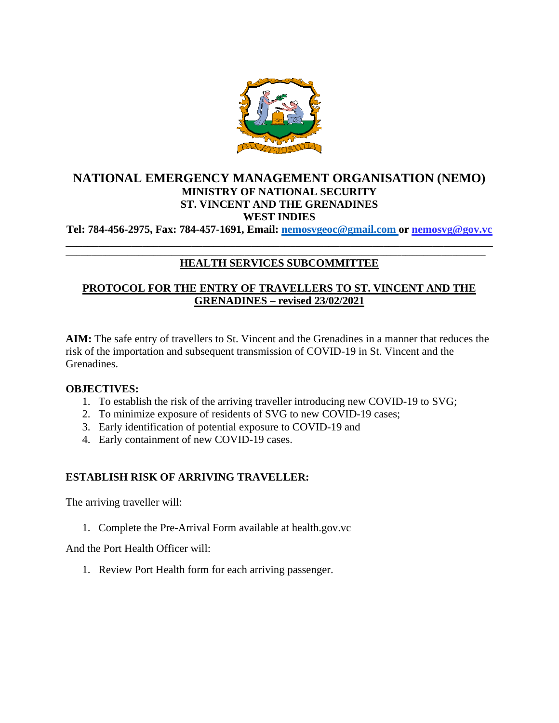

# **NATIONAL EMERGENCY MANAGEMENT ORGANISATION (NEMO) MINISTRY OF NATIONAL SECURITY ST. VINCENT AND THE GRENADINES WEST INDIES**

**Tel: 784-456-2975, Fax: 784-457-1691, Email: [nemosvgeoc@gmail.com o](mailto:nemosvgeoc@gmail.com)r nemosvg@gov.vc** \_\_\_\_\_\_\_\_\_\_\_\_\_\_\_\_\_\_\_\_\_\_\_\_\_\_\_\_\_\_\_\_\_\_\_\_\_\_\_\_\_\_\_\_\_\_\_\_\_\_\_\_\_\_\_\_\_\_\_\_\_\_\_\_\_\_\_\_\_\_\_\_\_\_\_\_\_\_

#### \_\_\_\_\_\_\_\_\_\_\_\_\_\_\_\_\_\_\_\_\_\_\_\_\_\_\_\_\_\_\_\_\_\_\_\_\_\_\_\_\_\_\_\_\_\_\_\_\_\_\_\_\_\_\_\_\_\_\_\_\_\_\_\_\_\_\_\_\_\_\_\_\_\_\_\_\_\_\_\_\_\_\_\_\_\_\_\_\_\_\_\_\_\_\_\_\_\_\_\_\_\_\_\_\_\_\_\_\_\_\_\_\_\_\_ **HEALTH SERVICES SUBCOMMITTEE**

# **PROTOCOL FOR THE ENTRY OF TRAVELLERS TO ST. VINCENT AND THE GRENADINES – revised 23/02/2021**

**AIM:** The safe entry of travellers to St. Vincent and the Grenadines in a manner that reduces the risk of the importation and subsequent transmission of COVID-19 in St. Vincent and the Grenadines.

#### **OBJECTIVES:**

- 1. To establish the risk of the arriving traveller introducing new COVID-19 to SVG;
- 2. To minimize exposure of residents of SVG to new COVID-19 cases;
- 3. Early identification of potential exposure to COVID-19 and
- 4. Early containment of new COVID-19 cases.

## **ESTABLISH RISK OF ARRIVING TRAVELLER:**

The arriving traveller will:

1. Complete the Pre-Arrival Form available at health.gov.vc

And the Port Health Officer will:

1. Review Port Health form for each arriving passenger.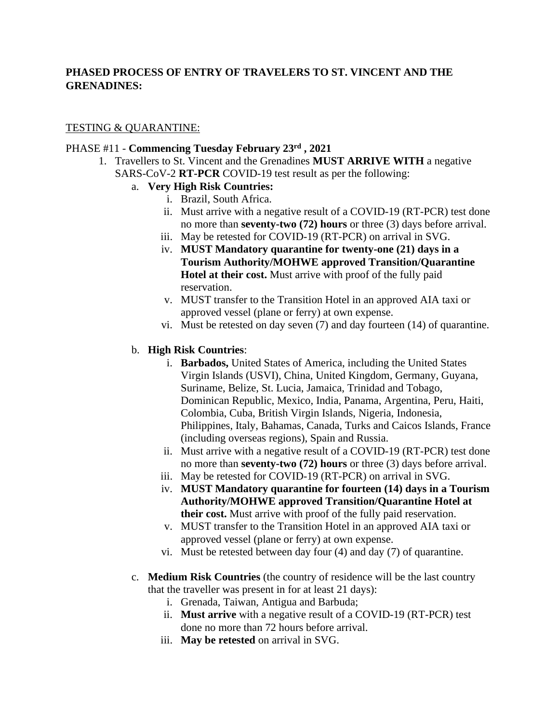# **PHASED PROCESS OF ENTRY OF TRAVELERS TO ST. VINCENT AND THE GRENADINES:**

## TESTING & QUARANTINE:

#### PHASE #11 - **Commencing Tuesday February 23rd , 2021**

1. Travellers to St. Vincent and the Grenadines **MUST ARRIVE WITH** a negative SARS-CoV-2 **RT-PCR** COVID-19 test result as per the following:

## a. **Very High Risk Countries:**

- i. Brazil, South Africa.
- ii. Must arrive with a negative result of a COVID-19 (RT-PCR) test done no more than **seventy-two (72) hours** or three (3) days before arrival.
- iii. May be retested for COVID-19 (RT-PCR) on arrival in SVG.
- iv. **MUST Mandatory quarantine for twenty-one (21) days in a Tourism Authority/MOHWE approved Transition/Quarantine Hotel at their cost.** Must arrive with proof of the fully paid reservation.
- v. MUST transfer to the Transition Hotel in an approved AIA taxi or approved vessel (plane or ferry) at own expense.
- vi. Must be retested on day seven (7) and day fourteen (14) of quarantine.

#### b. **High Risk Countries**:

- i. **Barbados,** United States of America, including the United States Virgin Islands (USVI), China, United Kingdom, Germany, Guyana, Suriname, Belize, St. Lucia, Jamaica, Trinidad and Tobago, Dominican Republic, Mexico, India, Panama, Argentina, Peru, Haiti, Colombia, Cuba, British Virgin Islands, Nigeria, Indonesia, Philippines, Italy, Bahamas, Canada, Turks and Caicos Islands, France (including overseas regions), Spain and Russia.
- ii. Must arrive with a negative result of a COVID-19 (RT-PCR) test done no more than **seventy-two (72) hours** or three (3) days before arrival.
- iii. May be retested for COVID-19 (RT-PCR) on arrival in SVG.
- iv. **MUST Mandatory quarantine for fourteen (14) days in a Tourism Authority/MOHWE approved Transition/Quarantine Hotel at their cost.** Must arrive with proof of the fully paid reservation.
- v. MUST transfer to the Transition Hotel in an approved AIA taxi or approved vessel (plane or ferry) at own expense.
- vi. Must be retested between day four (4) and day (7) of quarantine.
- c. **Medium Risk Countries** (the country of residence will be the last country that the traveller was present in for at least 21 days):
	- i. Grenada, Taiwan, Antigua and Barbuda;
	- ii. **Must arrive** with a negative result of a COVID-19 (RT-PCR) test done no more than 72 hours before arrival.
	- iii. **May be retested** on arrival in SVG.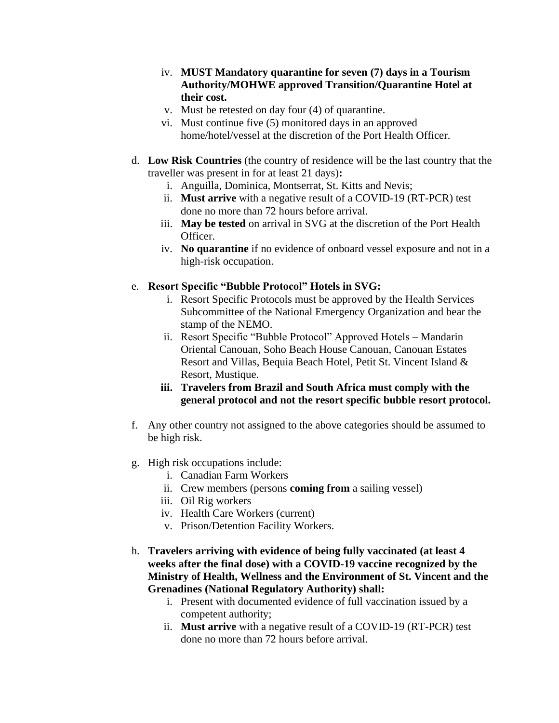- iv. **MUST Mandatory quarantine for seven (7) days in a Tourism Authority/MOHWE approved Transition/Quarantine Hotel at their cost.**
- v. Must be retested on day four (4) of quarantine.
- vi. Must continue five (5) monitored days in an approved home/hotel/vessel at the discretion of the Port Health Officer.
- d. **Low Risk Countries** (the country of residence will be the last country that the traveller was present in for at least 21 days)**:**
	- i. Anguilla, Dominica, Montserrat, St. Kitts and Nevis;
	- ii. **Must arrive** with a negative result of a COVID-19 (RT-PCR) test done no more than 72 hours before arrival.
	- iii. **May be tested** on arrival in SVG at the discretion of the Port Health Officer.
	- iv. **No quarantine** if no evidence of onboard vessel exposure and not in a high-risk occupation.

#### e. **Resort Specific "Bubble Protocol" Hotels in SVG:**

- i. Resort Specific Protocols must be approved by the Health Services Subcommittee of the National Emergency Organization and bear the stamp of the NEMO.
- ii. Resort Specific "Bubble Protocol" Approved Hotels Mandarin Oriental Canouan, Soho Beach House Canouan, Canouan Estates Resort and Villas, Bequia Beach Hotel, Petit St. Vincent Island & Resort, Mustique.
- **iii. Travelers from Brazil and South Africa must comply with the general protocol and not the resort specific bubble resort protocol.**
- f. Any other country not assigned to the above categories should be assumed to be high risk.
- g. High risk occupations include:
	- i. Canadian Farm Workers
	- ii. Crew members (persons **coming from** a sailing vessel)
	- iii. Oil Rig workers
	- iv. Health Care Workers (current)
	- v. Prison/Detention Facility Workers.
- h. **Travelers arriving with evidence of being fully vaccinated (at least 4 weeks after the final dose) with a COVID-19 vaccine recognized by the Ministry of Health, Wellness and the Environment of St. Vincent and the Grenadines (National Regulatory Authority) shall:**
	- i. Present with documented evidence of full vaccination issued by a competent authority;
	- ii. **Must arrive** with a negative result of a COVID-19 (RT-PCR) test done no more than 72 hours before arrival.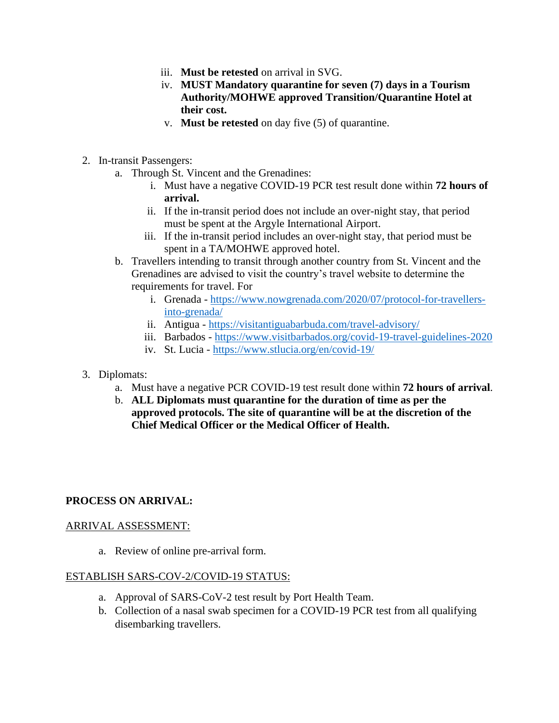- iii. **Must be retested** on arrival in SVG.
- iv. **MUST Mandatory quarantine for seven (7) days in a Tourism Authority/MOHWE approved Transition/Quarantine Hotel at their cost.**
- v. **Must be retested** on day five (5) of quarantine.
- 2. In-transit Passengers:
	- a. Through St. Vincent and the Grenadines:
		- i. Must have a negative COVID-19 PCR test result done within **72 hours of arrival.**
		- ii. If the in-transit period does not include an over-night stay, that period must be spent at the Argyle International Airport.
		- iii. If the in-transit period includes an over-night stay, that period must be spent in a TA/MOHWE approved hotel.
	- b. Travellers intending to transit through another country from St. Vincent and the Grenadines are advised to visit the country's travel website to determine the requirements for travel. For
		- i. Grenada [https://www.nowgrenada.com/2020/07/protocol-for-travellers](https://www.nowgrenada.com/2020/07/protocol-for-travellers-into-grenada/)[into-grenada/](https://www.nowgrenada.com/2020/07/protocol-for-travellers-into-grenada/)
		- ii. Antigua <https://visitantiguabarbuda.com/travel-advisory/>
		- iii. Barbados <https://www.visitbarbados.org/covid-19-travel-guidelines-2020>
		- iv. St. Lucia <https://www.stlucia.org/en/covid-19/>
- 3. Diplomats:
	- a. Must have a negative PCR COVID-19 test result done within **72 hours of arrival**.
	- b. **ALL Diplomats must quarantine for the duration of time as per the approved protocols. The site of quarantine will be at the discretion of the Chief Medical Officer or the Medical Officer of Health.**

## **PROCESS ON ARRIVAL:**

#### ARRIVAL ASSESSMENT:

a. Review of online pre-arrival form.

#### ESTABLISH SARS-COV-2/COVID-19 STATUS:

- a. Approval of SARS-CoV-2 test result by Port Health Team.
- b. Collection of a nasal swab specimen for a COVID-19 PCR test from all qualifying disembarking travellers.